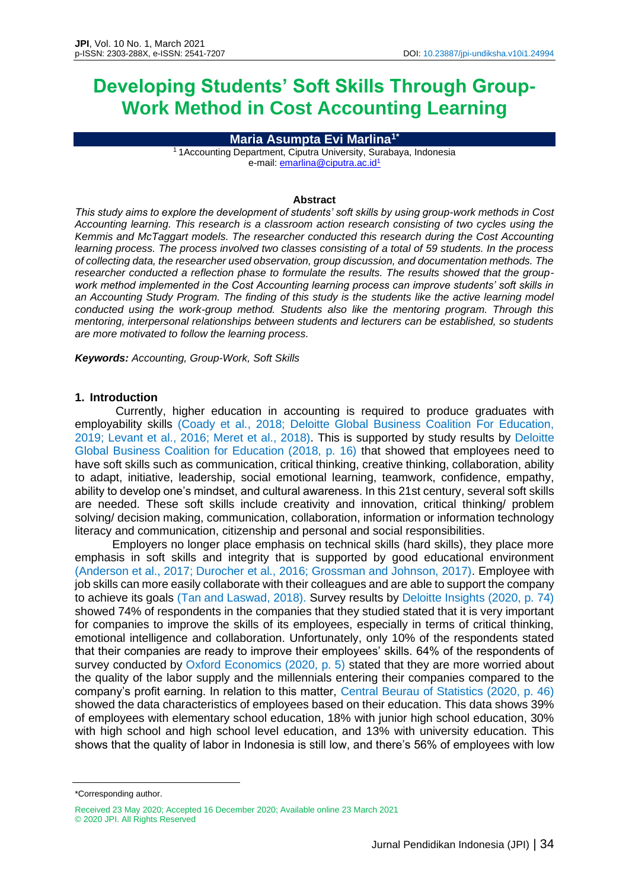# **Developing Students' Soft Skills Through Group-Work Method in Cost Accounting Learning**

**Maria Asumpta Evi Marlina1\***

<sup>1</sup> 1Accounting Department, Ciputra University, Surabaya, Indonesia e-mail[: emarlina@ciputra.ac.id](mailto:emarlina@ciputra.ac.id)<sup>1</sup>

### **Abstract**

*This study aims to explore the development of students' soft skills by using group-work methods in Cost Accounting learning. This research is a classroom action research consisting of two cycles using the Kemmis and McTaggart models. The researcher conducted this research during the Cost Accounting learning process. The process involved two classes consisting of a total of 59 students. In the process of collecting data, the researcher used observation, group discussion, and documentation methods. The researcher conducted a reflection phase to formulate the results. The results showed that the groupwork method implemented in the Cost Accounting learning process can improve students' soft skills in an Accounting Study Program. The finding of this study is the students like the active learning model conducted using the work-group method. Students also like the mentoring program. Through this mentoring, interpersonal relationships between students and lecturers can be established, so students are more motivated to follow the learning process.*

*Keywords: Accounting, Group-Work, Soft Skills*

## **1. Introduction**

Currently, higher education in accounting is required to produce graduates with employability skills (Coady et al., 2018; Deloitte Global Business Coalition For Education, 2019; Levant et al., 2016; Meret et al., 2018). This is supported by study results by Deloitte Global Business Coalition for Education (2018, p. 16) that showed that employees need to have soft skills such as communication, critical thinking, creative thinking, collaboration, ability to adapt, initiative, leadership, social emotional learning, teamwork, confidence, empathy, ability to develop one's mindset, and cultural awareness. In this 21st century, several soft skills are needed. These soft skills include creativity and innovation, critical thinking/ problem solving/ decision making, communication, collaboration, information or information technology literacy and communication, citizenship and personal and social responsibilities.

Employers no longer place emphasis on technical skills (hard skills), they place more emphasis in soft skills and integrity that is supported by good educational environment (Anderson et al., 2017; Durocher et al., 2016; Grossman and Johnson, 2017). Employee with job skills can more easily collaborate with their colleagues and are able to support the company to achieve its goals (Tan and Laswad, 2018). Survey results by Deloitte Insights (2020, p. 74) showed 74% of respondents in the companies that they studied stated that it is very important for companies to improve the skills of its employees, especially in terms of critical thinking, emotional intelligence and collaboration. Unfortunately, only 10% of the respondents stated that their companies are ready to improve their employees' skills. 64% of the respondents of survey conducted by Oxford Economics (2020, p. 5) stated that they are more worried about the quality of the labor supply and the millennials entering their companies compared to the company's profit earning. In relation to this matter, Central Beurau of Statistics (2020, p. 46) showed the data characteristics of employees based on their education. This data shows 39% of employees with elementary school education, 18% with junior high school education, 30% with high school and high school level education, and 13% with university education. This shows that the quality of labor in Indonesia is still low, and there's 56% of employees with low

<sup>\*</sup>Corresponding author.

Received 23 May 2020; Accepted 16 December 2020; Available online 23 March 2021 © 2020 JPI. All Rights Reserved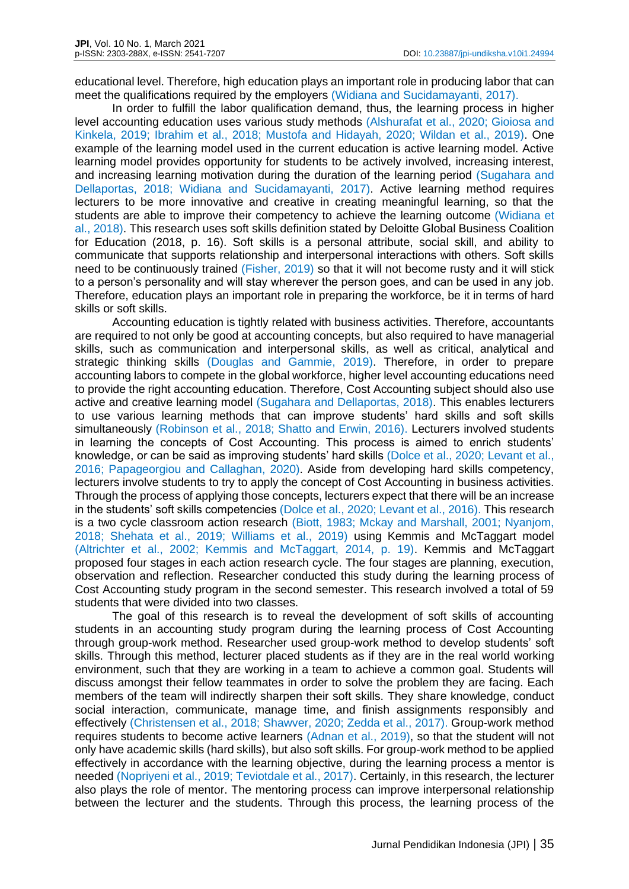educational level. Therefore, high education plays an important role in producing labor that can meet the qualifications required by the employers (Widiana and Sucidamayanti, 2017).

In order to fulfill the labor qualification demand, thus, the learning process in higher level accounting education uses various study methods (Alshurafat et al., 2020; Gioiosa and Kinkela, 2019; Ibrahim et al., 2018; Mustofa and Hidayah, 2020; Wildan et al., 2019). One example of the learning model used in the current education is active learning model. Active learning model provides opportunity for students to be actively involved, increasing interest, and increasing learning motivation during the duration of the learning period (Sugahara and Dellaportas, 2018; Widiana and Sucidamayanti, 2017). Active learning method requires lecturers to be more innovative and creative in creating meaningful learning, so that the students are able to improve their competency to achieve the learning outcome (Widiana et al., 2018). This research uses soft skills definition stated by Deloitte Global Business Coalition for Education (2018, p. 16). Soft skills is a personal attribute, social skill, and ability to communicate that supports relationship and interpersonal interactions with others. Soft skills need to be continuously trained (Fisher, 2019) so that it will not become rusty and it will stick to a person's personality and will stay wherever the person goes, and can be used in any job. Therefore, education plays an important role in preparing the workforce, be it in terms of hard skills or soft skills.

Accounting education is tightly related with business activities. Therefore, accountants are required to not only be good at accounting concepts, but also required to have managerial skills, such as communication and interpersonal skills, as well as critical, analytical and strategic thinking skills (Douglas and Gammie, 2019). Therefore, in order to prepare accounting labors to compete in the global workforce, higher level accounting educations need to provide the right accounting education. Therefore, Cost Accounting subject should also use active and creative learning model (Sugahara and Dellaportas, 2018). This enables lecturers to use various learning methods that can improve students' hard skills and soft skills simultaneously (Robinson et al., 2018; Shatto and Erwin, 2016). Lecturers involved students in learning the concepts of Cost Accounting. This process is aimed to enrich students' knowledge, or can be said as improving students' hard skills (Dolce et al., 2020; Levant et al., 2016; Papageorgiou and Callaghan, 2020). Aside from developing hard skills competency, lecturers involve students to try to apply the concept of Cost Accounting in business activities. Through the process of applying those concepts, lecturers expect that there will be an increase in the students' soft skills competencies (Dolce et al., 2020; Levant et al., 2016). This research is a two cycle classroom action research (Biott, 1983; Mckay and Marshall, 2001; Nyanjom, 2018; Shehata et al., 2019; Williams et al., 2019) using Kemmis and McTaggart model (Altrichter et al., 2002; Kemmis and McTaggart, 2014, p. 19). Kemmis and McTaggart proposed four stages in each action research cycle. The four stages are planning, execution, observation and reflection. Researcher conducted this study during the learning process of Cost Accounting study program in the second semester. This research involved a total of 59 students that were divided into two classes.

The goal of this research is to reveal the development of soft skills of accounting students in an accounting study program during the learning process of Cost Accounting through group-work method. Researcher used group-work method to develop students' soft skills. Through this method, lecturer placed students as if they are in the real world working environment, such that they are working in a team to achieve a common goal. Students will discuss amongst their fellow teammates in order to solve the problem they are facing. Each members of the team will indirectly sharpen their soft skills. They share knowledge, conduct social interaction, communicate, manage time, and finish assignments responsibly and effectively (Christensen et al., 2018; Shawver, 2020; Zedda et al., 2017). Group-work method requires students to become active learners (Adnan et al., 2019), so that the student will not only have academic skills (hard skills), but also soft skills. For group-work method to be applied effectively in accordance with the learning objective, during the learning process a mentor is needed (Nopriyeni et al., 2019; Teviotdale et al., 2017). Certainly, in this research, the lecturer also plays the role of mentor. The mentoring process can improve interpersonal relationship between the lecturer and the students. Through this process, the learning process of the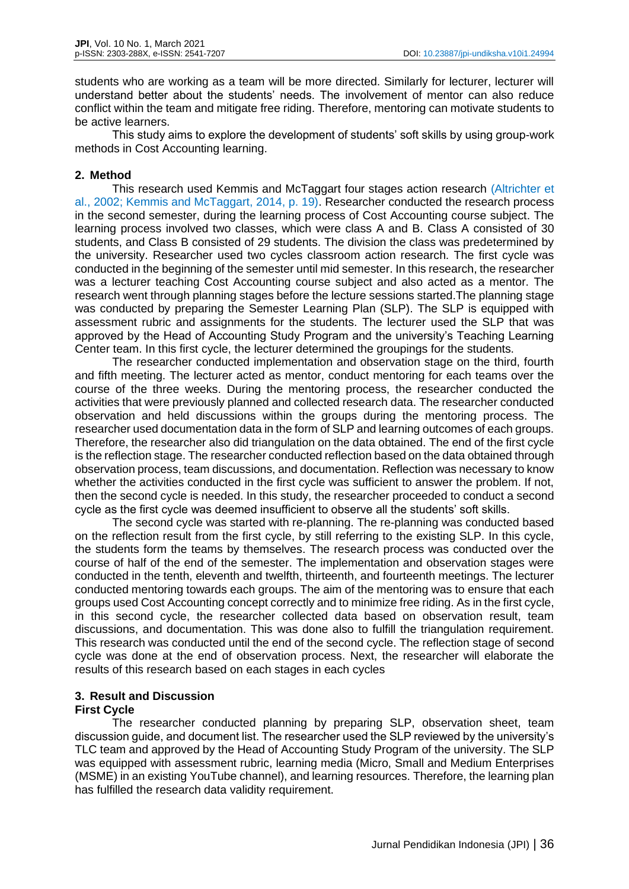students who are working as a team will be more directed. Similarly for lecturer, lecturer will understand better about the students' needs. The involvement of mentor can also reduce conflict within the team and mitigate free riding. Therefore, mentoring can motivate students to be active learners.

This study aims to explore the development of students' soft skills by using group-work methods in Cost Accounting learning.

# **2. Method**

This research used Kemmis and McTaggart four stages action research (Altrichter et al., 2002; Kemmis and McTaggart, 2014, p. 19). Researcher conducted the research process in the second semester, during the learning process of Cost Accounting course subject. The learning process involved two classes, which were class A and B. Class A consisted of 30 students, and Class B consisted of 29 students. The division the class was predetermined by the university. Researcher used two cycles classroom action research. The first cycle was conducted in the beginning of the semester until mid semester. In this research, the researcher was a lecturer teaching Cost Accounting course subject and also acted as a mentor. The research went through planning stages before the lecture sessions started.The planning stage was conducted by preparing the Semester Learning Plan (SLP). The SLP is equipped with assessment rubric and assignments for the students. The lecturer used the SLP that was approved by the Head of Accounting Study Program and the university's Teaching Learning Center team. In this first cycle, the lecturer determined the groupings for the students.

The researcher conducted implementation and observation stage on the third, fourth and fifth meeting. The lecturer acted as mentor, conduct mentoring for each teams over the course of the three weeks. During the mentoring process, the researcher conducted the activities that were previously planned and collected research data. The researcher conducted observation and held discussions within the groups during the mentoring process. The researcher used documentation data in the form of SLP and learning outcomes of each groups. Therefore, the researcher also did triangulation on the data obtained. The end of the first cycle is the reflection stage. The researcher conducted reflection based on the data obtained through observation process, team discussions, and documentation. Reflection was necessary to know whether the activities conducted in the first cycle was sufficient to answer the problem. If not, then the second cycle is needed. In this study, the researcher proceeded to conduct a second cycle as the first cycle was deemed insufficient to observe all the students' soft skills.

The second cycle was started with re-planning. The re-planning was conducted based on the reflection result from the first cycle, by still referring to the existing SLP. In this cycle, the students form the teams by themselves. The research process was conducted over the course of half of the end of the semester. The implementation and observation stages were conducted in the tenth, eleventh and twelfth, thirteenth, and fourteenth meetings. The lecturer conducted mentoring towards each groups. The aim of the mentoring was to ensure that each groups used Cost Accounting concept correctly and to minimize free riding. As in the first cycle, in this second cycle, the researcher collected data based on observation result, team discussions, and documentation. This was done also to fulfill the triangulation requirement. This research was conducted until the end of the second cycle. The reflection stage of second cycle was done at the end of observation process. Next, the researcher will elaborate the results of this research based on each stages in each cycles

## **3. Result and Discussion First Cycle**

The researcher conducted planning by preparing SLP, observation sheet, team discussion guide, and document list. The researcher used the SLP reviewed by the university's TLC team and approved by the Head of Accounting Study Program of the university. The SLP was equipped with assessment rubric, learning media (Micro, Small and Medium Enterprises (MSME) in an existing YouTube channel), and learning resources. Therefore, the learning plan has fulfilled the research data validity requirement.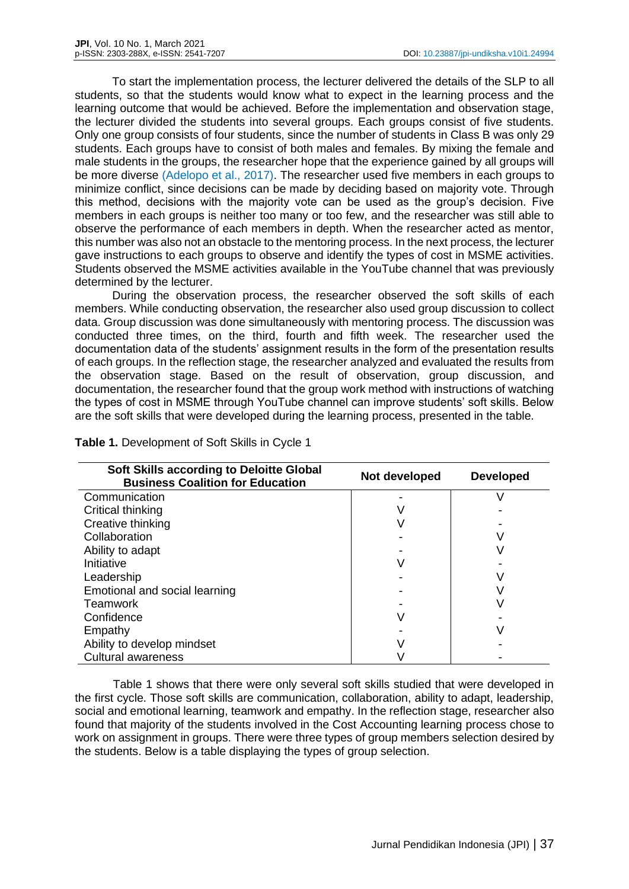To start the implementation process, the lecturer delivered the details of the SLP to all students, so that the students would know what to expect in the learning process and the learning outcome that would be achieved. Before the implementation and observation stage, the lecturer divided the students into several groups. Each groups consist of five students. Only one group consists of four students, since the number of students in Class B was only 29 students. Each groups have to consist of both males and females. By mixing the female and male students in the groups, the researcher hope that the experience gained by all groups will be more diverse (Adelopo et al., 2017). The researcher used five members in each groups to minimize conflict, since decisions can be made by deciding based on majority vote. Through this method, decisions with the majority vote can be used as the group's decision. Five members in each groups is neither too many or too few, and the researcher was still able to observe the performance of each members in depth. When the researcher acted as mentor, this number was also not an obstacle to the mentoring process. In the next process, the lecturer gave instructions to each groups to observe and identify the types of cost in MSME activities. Students observed the MSME activities available in the YouTube channel that was previously determined by the lecturer.

During the observation process, the researcher observed the soft skills of each members. While conducting observation, the researcher also used group discussion to collect data. Group discussion was done simultaneously with mentoring process. The discussion was conducted three times, on the third, fourth and fifth week. The researcher used the documentation data of the students' assignment results in the form of the presentation results of each groups. In the reflection stage, the researcher analyzed and evaluated the results from the observation stage. Based on the result of observation, group discussion, and documentation, the researcher found that the group work method with instructions of watching the types of cost in MSME through YouTube channel can improve students' soft skills. Below are the soft skills that were developed during the learning process, presented in the table.

| <b>Soft Skills according to Deloitte Global</b><br><b>Business Coalition for Education</b> | Not developed | <b>Developed</b> |
|--------------------------------------------------------------------------------------------|---------------|------------------|
| Communication                                                                              |               |                  |
| Critical thinking                                                                          |               |                  |
| Creative thinking                                                                          |               |                  |
| Collaboration                                                                              |               |                  |
| Ability to adapt                                                                           |               |                  |
| Initiative                                                                                 |               |                  |
| Leadership                                                                                 |               |                  |
| Emotional and social learning                                                              |               |                  |
| Teamwork                                                                                   |               |                  |
| Confidence                                                                                 |               |                  |
| Empathy                                                                                    |               |                  |
| Ability to develop mindset                                                                 |               |                  |
| <b>Cultural awareness</b>                                                                  |               |                  |

**Table 1.** Development of Soft Skills in Cycle 1

Table 1 shows that there were only several soft skills studied that were developed in the first cycle. Those soft skills are communication, collaboration, ability to adapt, leadership, social and emotional learning, teamwork and empathy. In the reflection stage, researcher also found that majority of the students involved in the Cost Accounting learning process chose to work on assignment in groups. There were three types of group members selection desired by the students. Below is a table displaying the types of group selection.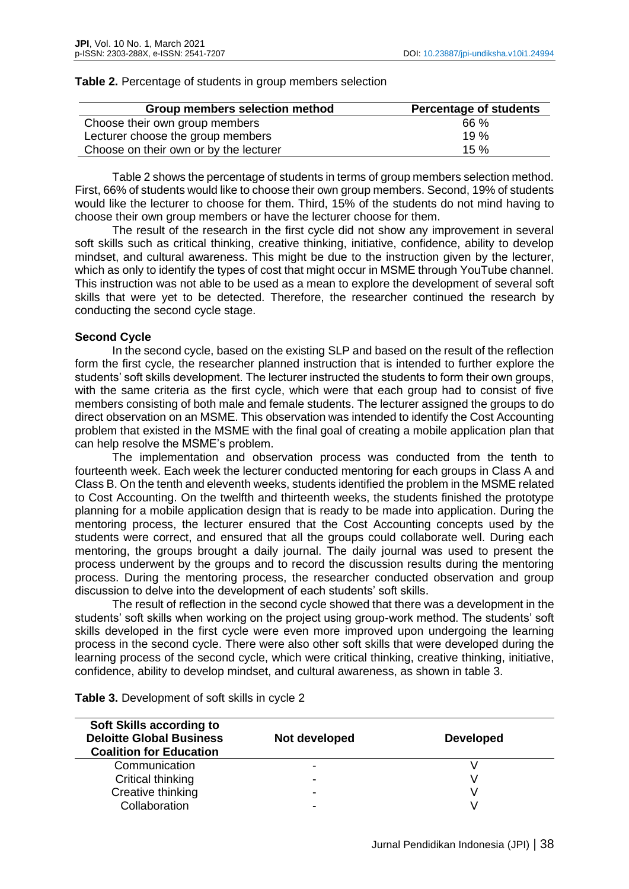| Group members selection method         | <b>Percentage of students</b> |
|----------------------------------------|-------------------------------|
| Choose their own group members         | 66 %                          |
| Lecturer choose the group members      | 19%                           |
| Choose on their own or by the lecturer | 15%                           |

#### **Table 2.** Percentage of students in group members selection

Table 2 shows the percentage of students in terms of group members selection method. First, 66% of students would like to choose their own group members. Second, 19% of students would like the lecturer to choose for them. Third, 15% of the students do not mind having to choose their own group members or have the lecturer choose for them.

The result of the research in the first cycle did not show any improvement in several soft skills such as critical thinking, creative thinking, initiative, confidence, ability to develop mindset, and cultural awareness. This might be due to the instruction given by the lecturer, which as only to identify the types of cost that might occur in MSME through YouTube channel. This instruction was not able to be used as a mean to explore the development of several soft skills that were yet to be detected. Therefore, the researcher continued the research by conducting the second cycle stage.

## **Second Cycle**

In the second cycle, based on the existing SLP and based on the result of the reflection form the first cycle, the researcher planned instruction that is intended to further explore the students' soft skills development. The lecturer instructed the students to form their own groups, with the same criteria as the first cycle, which were that each group had to consist of five members consisting of both male and female students. The lecturer assigned the groups to do direct observation on an MSME. This observation was intended to identify the Cost Accounting problem that existed in the MSME with the final goal of creating a mobile application plan that can help resolve the MSME's problem.

The implementation and observation process was conducted from the tenth to fourteenth week. Each week the lecturer conducted mentoring for each groups in Class A and Class B. On the tenth and eleventh weeks, students identified the problem in the MSME related to Cost Accounting. On the twelfth and thirteenth weeks, the students finished the prototype planning for a mobile application design that is ready to be made into application. During the mentoring process, the lecturer ensured that the Cost Accounting concepts used by the students were correct, and ensured that all the groups could collaborate well. During each mentoring, the groups brought a daily journal. The daily journal was used to present the process underwent by the groups and to record the discussion results during the mentoring process. During the mentoring process, the researcher conducted observation and group discussion to delve into the development of each students' soft skills.

The result of reflection in the second cycle showed that there was a development in the students' soft skills when working on the project using group-work method. The students' soft skills developed in the first cycle were even more improved upon undergoing the learning process in the second cycle. There were also other soft skills that were developed during the learning process of the second cycle, which were critical thinking, creative thinking, initiative, confidence, ability to develop mindset, and cultural awareness, as shown in table 3.

| <b>Soft Skills according to</b><br><b>Deloitte Global Business</b><br><b>Coalition for Education</b> | Not developed            | <b>Developed</b> |
|------------------------------------------------------------------------------------------------------|--------------------------|------------------|
| Communication                                                                                        | $\overline{\phantom{0}}$ |                  |
| Critical thinking                                                                                    | $\overline{\phantom{a}}$ |                  |
| Creative thinking                                                                                    | $\overline{\phantom{a}}$ |                  |
| Collaboration                                                                                        | -                        |                  |

**Table 3.** Development of soft skills in cycle 2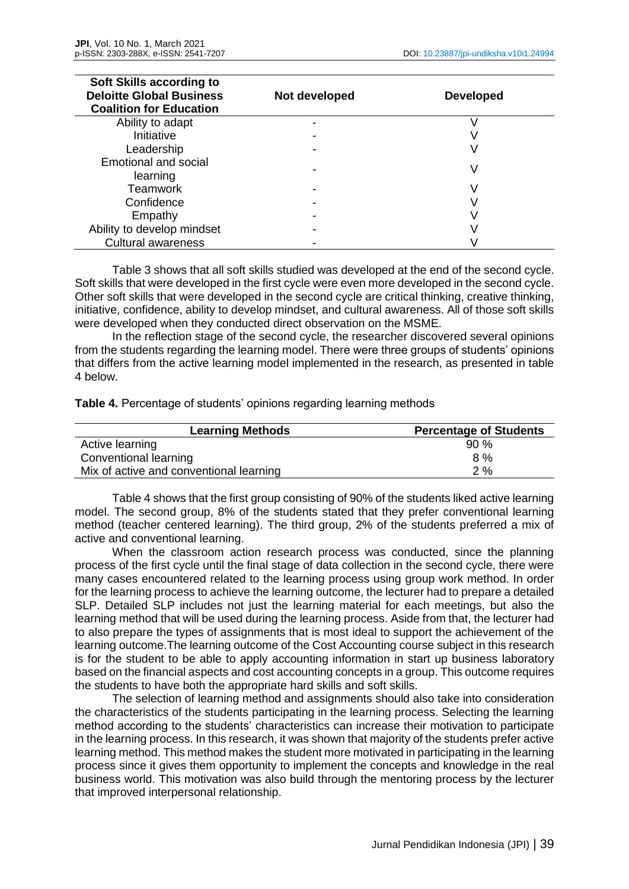| Soft Skills according to<br><b>Deloitte Global Business</b><br><b>Coalition for Education</b> | Not developed | <b>Developed</b> |  |
|-----------------------------------------------------------------------------------------------|---------------|------------------|--|
| Ability to adapt                                                                              |               |                  |  |
| Initiative                                                                                    |               |                  |  |
| Leadership                                                                                    |               |                  |  |
| <b>Emotional and social</b><br>learning                                                       |               |                  |  |
| Teamwork                                                                                      |               |                  |  |
| Confidence                                                                                    |               |                  |  |
| Empathy                                                                                       |               |                  |  |
| Ability to develop mindset                                                                    |               |                  |  |
| <b>Cultural awareness</b>                                                                     |               |                  |  |

Table 3 shows that all soft skills studied was developed at the end of the second cycle. Soft skills that were developed in the first cycle were even more developed in the second cycle. Other soft skills that were developed in the second cycle are critical thinking, creative thinking, initiative, confidence, ability to develop mindset, and cultural awareness. All of those soft skills were developed when they conducted direct observation on the MSME.

In the reflection stage of the second cycle, the researcher discovered several opinions from the students regarding the learning model. There were three groups of students' opinions that differs from the active learning model implemented in the research, as presented in table 4 below.

**Table 4.** Percentage of students' opinions regarding learning methods

| <b>Learning Methods</b>                 | <b>Percentage of Students</b> |
|-----------------------------------------|-------------------------------|
| Active learning                         | 90%                           |
| Conventional learning                   | 8%                            |
| Mix of active and conventional learning | 2%                            |

Table 4 shows that the first group consisting of 90% of the students liked active learning model. The second group, 8% of the students stated that they prefer conventional learning method (teacher centered learning). The third group, 2% of the students preferred a mix of active and conventional learning.

When the classroom action research process was conducted, since the planning process of the first cycle until the final stage of data collection in the second cycle, there were many cases encountered related to the learning process using group work method. In order for the learning process to achieve the learning outcome, the lecturer had to prepare a detailed SLP. Detailed SLP includes not just the learning material for each meetings, but also the learning method that will be used during the learning process. Aside from that, the lecturer had to also prepare the types of assignments that is most ideal to support the achievement of the learning outcome.The learning outcome of the Cost Accounting course subject in this research is for the student to be able to apply accounting information in start up business laboratory based on the financial aspects and cost accounting concepts in a group. This outcome requires the students to have both the appropriate hard skills and soft skills.

The selection of learning method and assignments should also take into consideration the characteristics of the students participating in the learning process. Selecting the learning method according to the students' characteristics can increase their motivation to participate in the learning process. In this research, it was shown that majority of the students prefer active learning method. This method makes the student more motivated in participating in the learning process since it gives them opportunity to implement the concepts and knowledge in the real business world. This motivation was also build through the mentoring process by the lecturer that improved interpersonal relationship.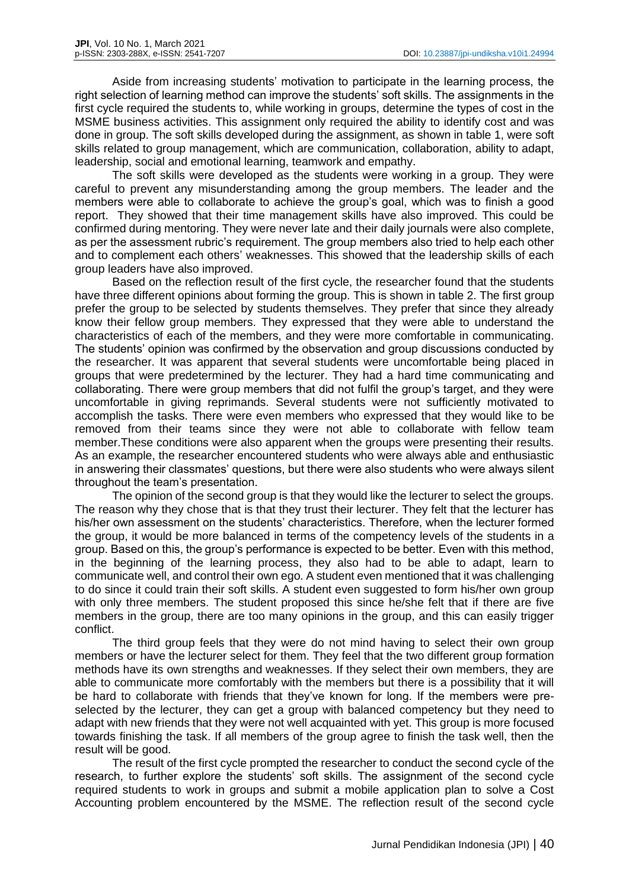Aside from increasing students' motivation to participate in the learning process, the right selection of learning method can improve the students' soft skills. The assignments in the first cycle required the students to, while working in groups, determine the types of cost in the MSME business activities. This assignment only required the ability to identify cost and was done in group. The soft skills developed during the assignment, as shown in table 1, were soft skills related to group management, which are communication, collaboration, ability to adapt, leadership, social and emotional learning, teamwork and empathy.

The soft skills were developed as the students were working in a group. They were careful to prevent any misunderstanding among the group members. The leader and the members were able to collaborate to achieve the group's goal, which was to finish a good report. They showed that their time management skills have also improved. This could be confirmed during mentoring. They were never late and their daily journals were also complete, as per the assessment rubric's requirement. The group members also tried to help each other and to complement each others' weaknesses. This showed that the leadership skills of each group leaders have also improved.

Based on the reflection result of the first cycle, the researcher found that the students have three different opinions about forming the group. This is shown in table 2. The first group prefer the group to be selected by students themselves. They prefer that since they already know their fellow group members. They expressed that they were able to understand the characteristics of each of the members, and they were more comfortable in communicating. The students' opinion was confirmed by the observation and group discussions conducted by the researcher. It was apparent that several students were uncomfortable being placed in groups that were predetermined by the lecturer. They had a hard time communicating and collaborating. There were group members that did not fulfil the group's target, and they were uncomfortable in giving reprimands. Several students were not sufficiently motivated to accomplish the tasks. There were even members who expressed that they would like to be removed from their teams since they were not able to collaborate with fellow team member.These conditions were also apparent when the groups were presenting their results. As an example, the researcher encountered students who were always able and enthusiastic in answering their classmates' questions, but there were also students who were always silent throughout the team's presentation.

The opinion of the second group is that they would like the lecturer to select the groups. The reason why they chose that is that they trust their lecturer. They felt that the lecturer has his/her own assessment on the students' characteristics. Therefore, when the lecturer formed the group, it would be more balanced in terms of the competency levels of the students in a group. Based on this, the group's performance is expected to be better. Even with this method, in the beginning of the learning process, they also had to be able to adapt, learn to communicate well, and control their own ego. A student even mentioned that it was challenging to do since it could train their soft skills. A student even suggested to form his/her own group with only three members. The student proposed this since he/she felt that if there are five members in the group, there are too many opinions in the group, and this can easily trigger conflict.

The third group feels that they were do not mind having to select their own group members or have the lecturer select for them. They feel that the two different group formation methods have its own strengths and weaknesses. If they select their own members, they are able to communicate more comfortably with the members but there is a possibility that it will be hard to collaborate with friends that they've known for long. If the members were preselected by the lecturer, they can get a group with balanced competency but they need to adapt with new friends that they were not well acquainted with yet. This group is more focused towards finishing the task. If all members of the group agree to finish the task well, then the result will be good.

The result of the first cycle prompted the researcher to conduct the second cycle of the research, to further explore the students' soft skills. The assignment of the second cycle required students to work in groups and submit a mobile application plan to solve a Cost Accounting problem encountered by the MSME. The reflection result of the second cycle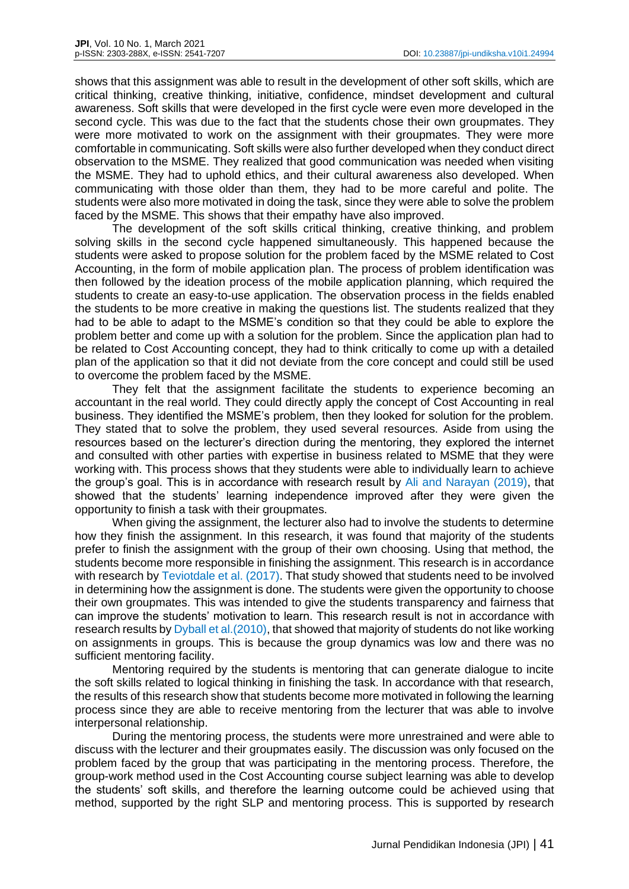shows that this assignment was able to result in the development of other soft skills, which are critical thinking, creative thinking, initiative, confidence, mindset development and cultural awareness. Soft skills that were developed in the first cycle were even more developed in the second cycle. This was due to the fact that the students chose their own groupmates. They were more motivated to work on the assignment with their groupmates. They were more comfortable in communicating. Soft skills were also further developed when they conduct direct observation to the MSME. They realized that good communication was needed when visiting the MSME. They had to uphold ethics, and their cultural awareness also developed. When communicating with those older than them, they had to be more careful and polite. The students were also more motivated in doing the task, since they were able to solve the problem faced by the MSME. This shows that their empathy have also improved.

The development of the soft skills critical thinking, creative thinking, and problem solving skills in the second cycle happened simultaneously. This happened because the students were asked to propose solution for the problem faced by the MSME related to Cost Accounting, in the form of mobile application plan. The process of problem identification was then followed by the ideation process of the mobile application planning, which required the students to create an easy-to-use application. The observation process in the fields enabled the students to be more creative in making the questions list. The students realized that they had to be able to adapt to the MSME's condition so that they could be able to explore the problem better and come up with a solution for the problem. Since the application plan had to be related to Cost Accounting concept, they had to think critically to come up with a detailed plan of the application so that it did not deviate from the core concept and could still be used to overcome the problem faced by the MSME.

They felt that the assignment facilitate the students to experience becoming an accountant in the real world. They could directly apply the concept of Cost Accounting in real business. They identified the MSME's problem, then they looked for solution for the problem. They stated that to solve the problem, they used several resources. Aside from using the resources based on the lecturer's direction during the mentoring, they explored the internet and consulted with other parties with expertise in business related to MSME that they were working with. This process shows that they students were able to individually learn to achieve the group's goal. This is in accordance with research result by Ali and Narayan (2019), that showed that the students' learning independence improved after they were given the opportunity to finish a task with their groupmates.

When giving the assignment, the lecturer also had to involve the students to determine how they finish the assignment. In this research, it was found that majority of the students prefer to finish the assignment with the group of their own choosing. Using that method, the students become more responsible in finishing the assignment. This research is in accordance with research by Teviotdale et al. (2017). That study showed that students need to be involved in determining how the assignment is done. The students were given the opportunity to choose their own groupmates. This was intended to give the students transparency and fairness that can improve the students' motivation to learn. This research result is not in accordance with research results by Dyball et al. (2010), that showed that majority of students do not like working on assignments in groups. This is because the group dynamics was low and there was no sufficient mentoring facility.

Mentoring required by the students is mentoring that can generate dialogue to incite the soft skills related to logical thinking in finishing the task. In accordance with that research, the results of this research show that students become more motivated in following the learning process since they are able to receive mentoring from the lecturer that was able to involve interpersonal relationship.

During the mentoring process, the students were more unrestrained and were able to discuss with the lecturer and their groupmates easily. The discussion was only focused on the problem faced by the group that was participating in the mentoring process. Therefore, the group-work method used in the Cost Accounting course subject learning was able to develop the students' soft skills, and therefore the learning outcome could be achieved using that method, supported by the right SLP and mentoring process. This is supported by research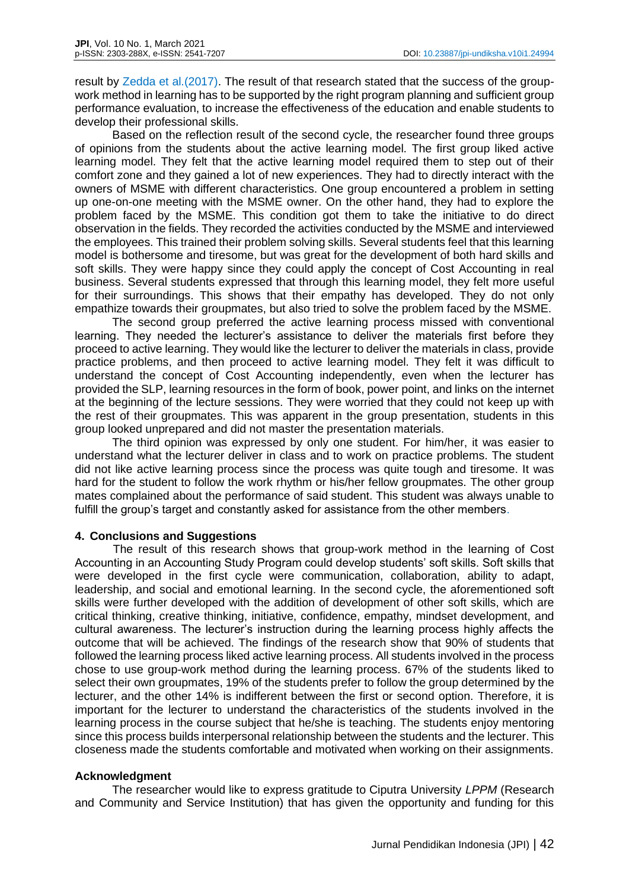result by Zedda et al.(2017). The result of that research stated that the success of the groupwork method in learning has to be supported by the right program planning and sufficient group performance evaluation, to increase the effectiveness of the education and enable students to develop their professional skills.

Based on the reflection result of the second cycle, the researcher found three groups of opinions from the students about the active learning model. The first group liked active learning model. They felt that the active learning model required them to step out of their comfort zone and they gained a lot of new experiences. They had to directly interact with the owners of MSME with different characteristics. One group encountered a problem in setting up one-on-one meeting with the MSME owner. On the other hand, they had to explore the problem faced by the MSME. This condition got them to take the initiative to do direct observation in the fields. They recorded the activities conducted by the MSME and interviewed the employees. This trained their problem solving skills. Several students feel that this learning model is bothersome and tiresome, but was great for the development of both hard skills and soft skills. They were happy since they could apply the concept of Cost Accounting in real business. Several students expressed that through this learning model, they felt more useful for their surroundings. This shows that their empathy has developed. They do not only empathize towards their groupmates, but also tried to solve the problem faced by the MSME.

The second group preferred the active learning process missed with conventional learning. They needed the lecturer's assistance to deliver the materials first before they proceed to active learning. They would like the lecturer to deliver the materials in class, provide practice problems, and then proceed to active learning model. They felt it was difficult to understand the concept of Cost Accounting independently, even when the lecturer has provided the SLP, learning resources in the form of book, power point, and links on the internet at the beginning of the lecture sessions. They were worried that they could not keep up with the rest of their groupmates. This was apparent in the group presentation, students in this group looked unprepared and did not master the presentation materials.

The third opinion was expressed by only one student. For him/her, it was easier to understand what the lecturer deliver in class and to work on practice problems. The student did not like active learning process since the process was quite tough and tiresome. It was hard for the student to follow the work rhythm or his/her fellow groupmates. The other group mates complained about the performance of said student. This student was always unable to fulfill the group's target and constantly asked for assistance from the other members.

# **4. Conclusions and Suggestions**

The result of this research shows that group-work method in the learning of Cost Accounting in an Accounting Study Program could develop students' soft skills. Soft skills that were developed in the first cycle were communication, collaboration, ability to adapt, leadership, and social and emotional learning. In the second cycle, the aforementioned soft skills were further developed with the addition of development of other soft skills, which are critical thinking, creative thinking, initiative, confidence, empathy, mindset development, and cultural awareness. The lecturer's instruction during the learning process highly affects the outcome that will be achieved. The findings of the research show that 90% of students that followed the learning process liked active learning process. All students involved in the process chose to use group-work method during the learning process. 67% of the students liked to select their own groupmates, 19% of the students prefer to follow the group determined by the lecturer, and the other 14% is indifferent between the first or second option. Therefore, it is important for the lecturer to understand the characteristics of the students involved in the learning process in the course subject that he/she is teaching. The students enjoy mentoring since this process builds interpersonal relationship between the students and the lecturer. This closeness made the students comfortable and motivated when working on their assignments.

# **Acknowledgment**

The researcher would like to express gratitude to Ciputra University *LPPM* (Research and Community and Service Institution) that has given the opportunity and funding for this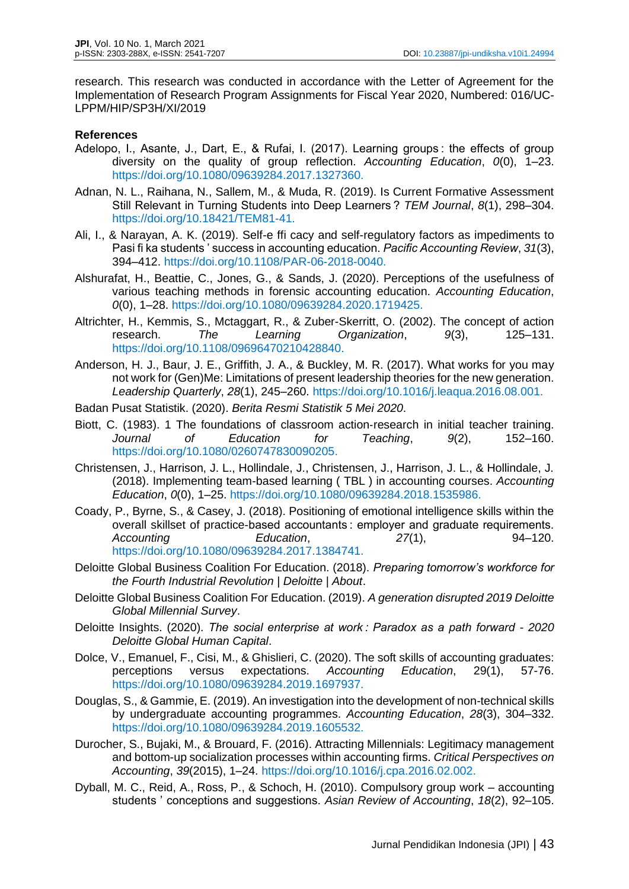research. This research was conducted in accordance with the Letter of Agreement for the Implementation of Research Program Assignments for Fiscal Year 2020, Numbered: 016/UC-LPPM/HIP/SP3H/XI/2019

## **References**

- Adelopo, I., Asante, J., Dart, E., & Rufai, I. (2017). Learning groups : the effects of group diversity on the quality of group reflection. *Accounting Education*, *0*(0), 1–23. https://doi.org/10.1080/09639284.2017.1327360.
- Adnan, N. L., Raihana, N., Sallem, M., & Muda, R. (2019). Is Current Formative Assessment Still Relevant in Turning Students into Deep Learners ? *TEM Journal*, *8*(1), 298–304. https://doi.org/10.18421/TEM81-41.
- Ali, I., & Narayan, A. K. (2019). Self-e ffi cacy and self-regulatory factors as impediments to Pasi fi ka students ' success in accounting education. *Pacific Accounting Review*, *31*(3), 394–412. https://doi.org/10.1108/PAR-06-2018-0040.
- Alshurafat, H., Beattie, C., Jones, G., & Sands, J. (2020). Perceptions of the usefulness of various teaching methods in forensic accounting education. *Accounting Education*, *0*(0), 1–28. https://doi.org/10.1080/09639284.2020.1719425.
- Altrichter, H., Kemmis, S., Mctaggart, R., & Zuber-Skerritt, O. (2002). The concept of action<br>research. The Learning Organization. 9(3). 125–131. research. *The Learning Organization*, *9*(3), 125–131. https://doi.org/10.1108/09696470210428840.
- Anderson, H. J., Baur, J. E., Griffith, J. A., & Buckley, M. R. (2017). What works for you may not work for (Gen)Me: Limitations of present leadership theories for the new generation. *Leadership Quarterly*, *28*(1), 245–260. https://doi.org/10.1016/j.leaqua.2016.08.001.
- Badan Pusat Statistik. (2020). *Berita Resmi Statistik 5 Mei 2020*.
- Biott, C. (1983). 1 The foundations of classroom action‐research in initial teacher training. *Journal of Education for Teaching*, *9*(2), 152–160. https://doi.org/10.1080/0260747830090205.
- Christensen, J., Harrison, J. L., Hollindale, J., Christensen, J., Harrison, J. L., & Hollindale, J. (2018). Implementing team-based learning ( TBL ) in accounting courses. *Accounting Education*, *0*(0), 1–25. https://doi.org/10.1080/09639284.2018.1535986.
- Coady, P., Byrne, S., & Casey, J. (2018). Positioning of emotional intelligence skills within the overall skillset of practice-based accountants : employer and graduate requirements. *Accounting Education*, *27*(1), 94–120. https://doi.org/10.1080/09639284.2017.1384741.
- Deloitte Global Business Coalition For Education. (2018). *Preparing tomorrow's workforce for the Fourth Industrial Revolution | Deloitte | About*.
- Deloitte Global Business Coalition For Education. (2019). *A generation disrupted 2019 Deloitte Global Millennial Survey*.
- Deloitte Insights. (2020). *The social enterprise at work : Paradox as a path forward - 2020 Deloitte Global Human Capital*.
- Dolce, V., Emanuel, F., Cisi, M., & Ghislieri, C. (2020). The soft skills of accounting graduates: perceptions versus expectations. *Accounting Education*, 29(1), 57-76. https://doi.org/10.1080/09639284.2019.1697937.
- Douglas, S., & Gammie, E. (2019). An investigation into the development of non-technical skills by undergraduate accounting programmes. *Accounting Education*, *28*(3), 304–332. https://doi.org/10.1080/09639284.2019.1605532.
- Durocher, S., Bujaki, M., & Brouard, F. (2016). Attracting Millennials: Legitimacy management and bottom-up socialization processes within accounting firms. *Critical Perspectives on Accounting*, *39*(2015), 1–24. https://doi.org/10.1016/j.cpa.2016.02.002.
- Dyball, M. C., Reid, A., Ross, P., & Schoch, H. (2010). Compulsory group work accounting students ' conceptions and suggestions. *Asian Review of Accounting*, *18*(2), 92–105.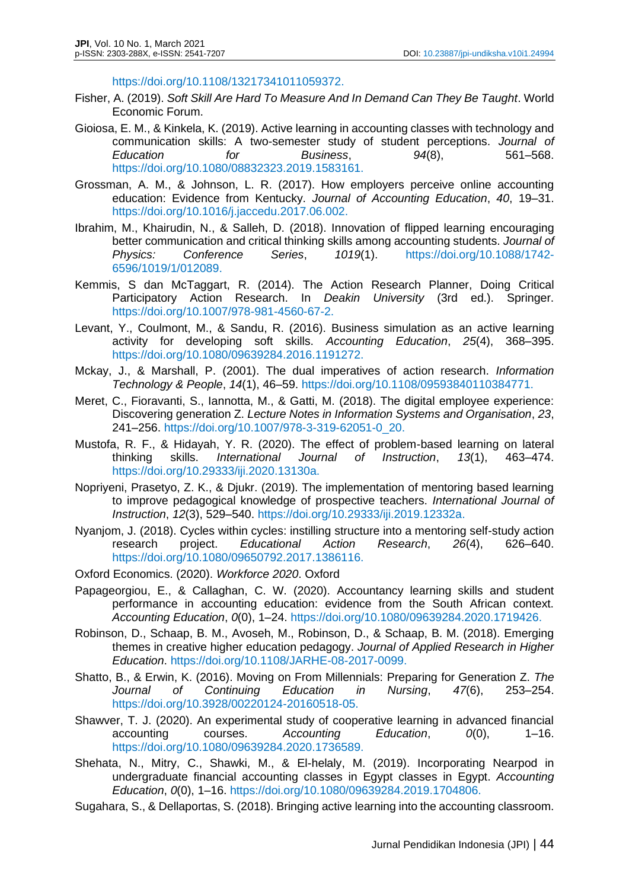https://doi.org/10.1108/13217341011059372.

- Fisher, A. (2019). *Soft Skill Are Hard To Measure And In Demand Can They Be Taught*. World Economic Forum.
- Gioiosa, E. M., & Kinkela, K. (2019). Active learning in accounting classes with technology and communication skills: A two-semester study of student perceptions. *Journal of Education for Business*, *94*(8), 561–568. https://doi.org/10.1080/08832323.2019.1583161.
- Grossman, A. M., & Johnson, L. R. (2017). How employers perceive online accounting education: Evidence from Kentucky. *Journal of Accounting Education*, *40*, 19–31. https://doi.org/10.1016/j.jaccedu.2017.06.002.
- Ibrahim, M., Khairudin, N., & Salleh, D. (2018). Innovation of flipped learning encouraging better communication and critical thinking skills among accounting students. *Journal of Physics: Conference Series*, *1019*(1). https://doi.org/10.1088/1742- 6596/1019/1/012089.
- Kemmis, S dan McTaggart, R. (2014). The Action Research Planner, Doing Critical Participatory Action Research. In *Deakin University* (3rd ed.). Springer. https://doi.org/10.1007/978-981-4560-67-2.
- Levant, Y., Coulmont, M., & Sandu, R. (2016). Business simulation as an active learning activity for developing soft skills. *Accounting Education*, *25*(4), 368–395. https://doi.org/10.1080/09639284.2016.1191272.
- Mckay, J., & Marshall, P. (2001). The dual imperatives of action research. *Information Technology & People*, *14*(1), 46–59. https://doi.org/10.1108/09593840110384771.
- Meret, C., Fioravanti, S., Iannotta, M., & Gatti, M. (2018). The digital employee experience: Discovering generation Z. *Lecture Notes in Information Systems and Organisation*, *23*, 241–256. https://doi.org/10.1007/978-3-319-62051-0\_20.
- Mustofa, R. F., & Hidayah, Y. R. (2020). The effect of problem-based learning on lateral<br>thinking skills. International Journal of Instruction, 13(1), 463–474. thinking skills. *International Journal of Instruction*, *13*(1), 463–474. https://doi.org/10.29333/iji.2020.13130a.
- Nopriyeni, Prasetyo, Z. K., & Djukr. (2019). The implementation of mentoring based learning to improve pedagogical knowledge of prospective teachers. *International Journal of Instruction*, *12*(3), 529–540. https://doi.org/10.29333/iji.2019.12332a.
- Nyanjom, J. (2018). Cycles within cycles: instilling structure into a mentoring self-study action research project. *Educational Action Research*, *26*(4), 626–640. https://doi.org/10.1080/09650792.2017.1386116.

- Papageorgiou, E., & Callaghan, C. W. (2020). Accountancy learning skills and student performance in accounting education: evidence from the South African context. *Accounting Education*, *0*(0), 1–24. https://doi.org/10.1080/09639284.2020.1719426.
- Robinson, D., Schaap, B. M., Avoseh, M., Robinson, D., & Schaap, B. M. (2018). Emerging themes in creative higher education pedagogy. *Journal of Applied Research in Higher Education*. https://doi.org/10.1108/JARHE-08-2017-0099.
- Shatto, B., & Erwin, K. (2016). Moving on From Millennials: Preparing for Generation Z. *The Journal of Continuing Education in Nursing*, *47*(6), 253–254. https://doi.org/10.3928/00220124-20160518-05.
- Shawver, T. J. (2020). An experimental study of cooperative learning in advanced financial accounting courses. *Accounting Education*, *0*(0), 1–16. https://doi.org/10.1080/09639284.2020.1736589.
- Shehata, N., Mitry, C., Shawki, M., & El-helaly, M. (2019). Incorporating Nearpod in undergraduate financial accounting classes in Egypt classes in Egypt. *Accounting Education*, *0*(0), 1–16. https://doi.org/10.1080/09639284.2019.1704806.
- Sugahara, S., & Dellaportas, S. (2018). Bringing active learning into the accounting classroom.

Oxford Economics. (2020). *Workforce 2020*. Oxford